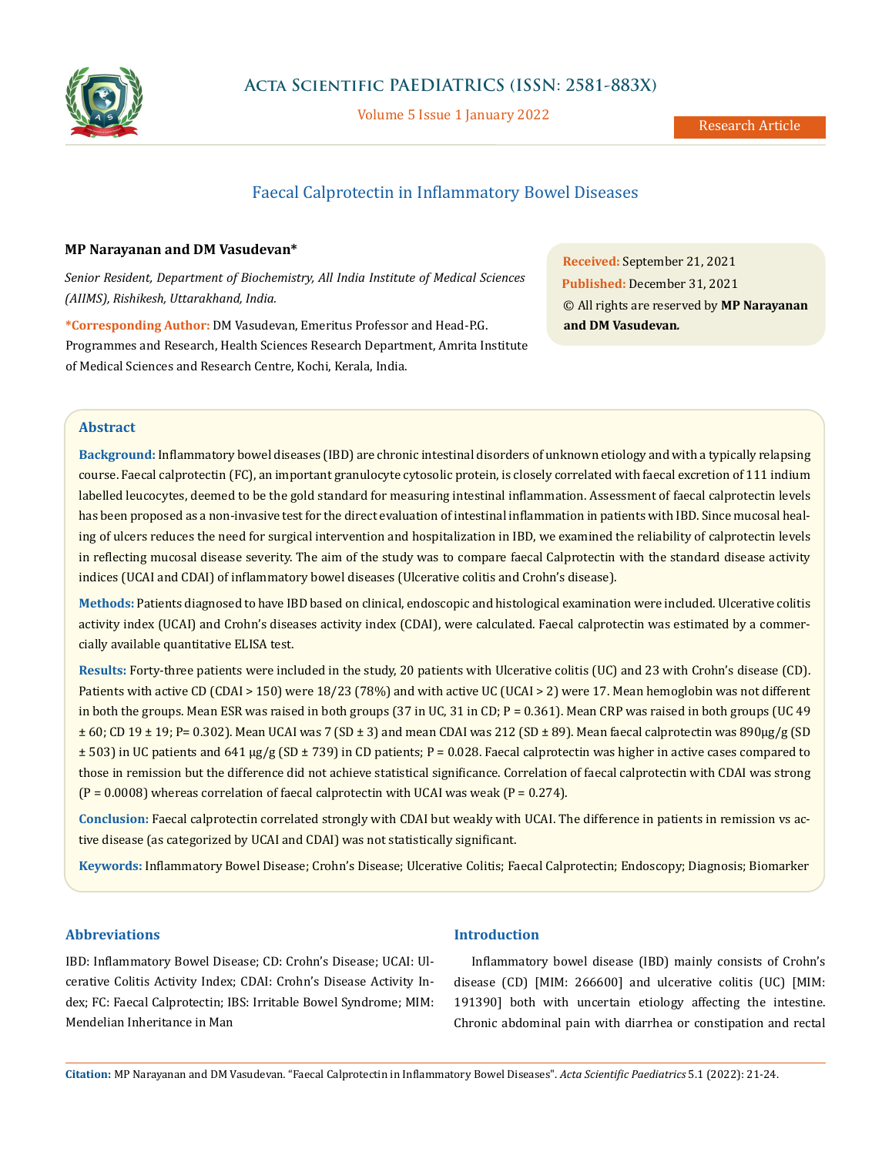

Volume 5 Issue 1 January 2022

# Faecal Calprotectin in Inflammatory Bowel Diseases

# **MP Narayanan and DM Vasudevan\***

*Senior Resident, Department of Biochemistry, All India Institute of Medical Sciences (AIIMS), Rishikesh, Uttarakhand, India.*

**\*Corresponding Author:** DM Vasudevan, Emeritus Professor and Head-P.G. Programmes and Research, Health Sciences Research Department, Amrita Institute of Medical Sciences and Research Centre, Kochi, Kerala, India.

**Received:** September 21, 2021 **Published:** December 31, 2021 © All rights are reserved by **MP Narayanan and DM Vasudevan***.*

### **Abstract**

**Background:** Inflammatory bowel diseases (IBD) are chronic intestinal disorders of unknown etiology and with a typically relapsing course. Faecal calprotectin (FC), an important granulocyte cytosolic protein, is closely correlated with faecal excretion of 111 indium labelled leucocytes, deemed to be the gold standard for measuring intestinal inflammation. Assessment of faecal calprotectin levels has been proposed as a non-invasive test for the direct evaluation of intestinal inflammation in patients with IBD. Since mucosal healing of ulcers reduces the need for surgical intervention and hospitalization in IBD, we examined the reliability of calprotectin levels in reflecting mucosal disease severity. The aim of the study was to compare faecal Calprotectin with the standard disease activity indices (UCAI and CDAI) of inflammatory bowel diseases (Ulcerative colitis and Crohn's disease).

**Methods:** Patients diagnosed to have IBD based on clinical, endoscopic and histological examination were included. Ulcerative colitis activity index (UCAI) and Crohn's diseases activity index (CDAI), were calculated. Faecal calprotectin was estimated by a commercially available quantitative ELISA test.

**Results:** Forty-three patients were included in the study, 20 patients with Ulcerative colitis (UC) and 23 with Crohn's disease (CD). Patients with active CD (CDAI > 150) were 18/23 (78%) and with active UC (UCAI > 2) were 17. Mean hemoglobin was not different in both the groups. Mean ESR was raised in both groups (37 in UC, 31 in CD; P = 0.361). Mean CRP was raised in both groups (UC 49  $\pm$  60; CD 19  $\pm$  19; P= 0.302). Mean UCAI was 7 (SD  $\pm$  3) and mean CDAI was 212 (SD  $\pm$  89). Mean faecal calprotectin was 890µg/g (SD  $\pm$  503) in UC patients and 641 µg/g (SD  $\pm$  739) in CD patients; P = 0.028. Faecal calprotectin was higher in active cases compared to those in remission but the difference did not achieve statistical significance. Correlation of faecal calprotectin with CDAI was strong  $(P = 0.0008)$  whereas correlation of faecal calprotectin with UCAI was weak  $(P = 0.274)$ .

**Conclusion:** Faecal calprotectin correlated strongly with CDAI but weakly with UCAI. The difference in patients in remission vs active disease (as categorized by UCAI and CDAI) was not statistically significant.

**Keywords:** Inflammatory Bowel Disease; Crohn's Disease; Ulcerative Colitis; Faecal Calprotectin; Endoscopy; Diagnosis; Biomarker

# **Abbreviations**

IBD: Inflammatory Bowel Disease; CD: Crohn's Disease; UCAI: Ulcerative Colitis Activity Index; CDAI: Crohn's Disease Activity Index; FC: Faecal Calprotectin; IBS: Irritable Bowel Syndrome; MIM: Mendelian Inheritance in Man

## **Introduction**

Inflammatory bowel disease (IBD) mainly consists of Crohn's disease (CD) [MIM: 266600] and ulcerative colitis (UC) [MIM: 191390] both with uncertain etiology affecting the intestine. Chronic abdominal pain with diarrhea or constipation and rectal

**Citation:** MP Narayanan and DM Vasudevan*.* "Faecal Calprotectin in Inflammatory Bowel Diseases". *Acta Scientific Paediatrics* 5.1 (2022): 21-24.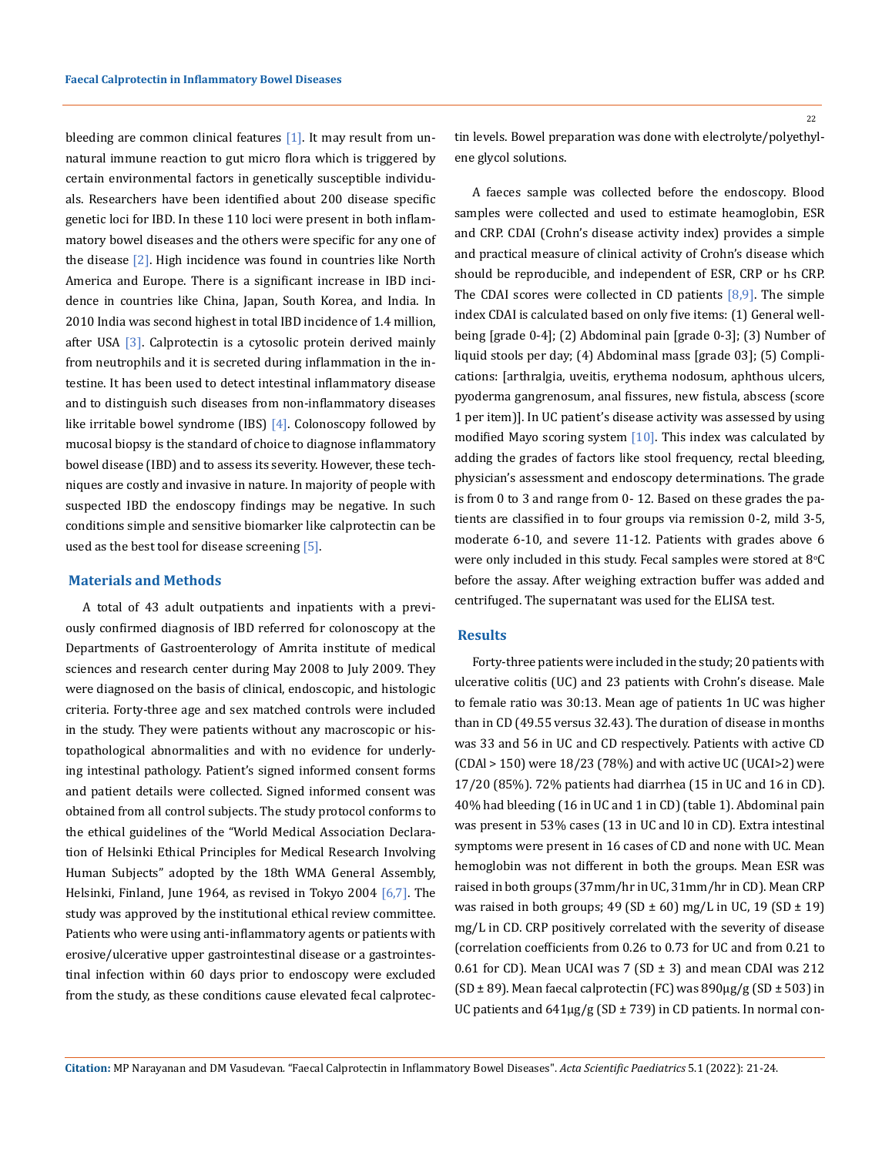bleeding are common clinical features [1]. It may result from unnatural immune reaction to gut micro flora which is triggered by certain environmental factors in genetically susceptible individuals. Researchers have been identified about 200 disease specific genetic loci for IBD. In these 110 loci were present in both inflammatory bowel diseases and the others were specific for any one of the disease [2]. High incidence was found in countries like North America and Europe. There is a significant increase in IBD incidence in countries like China, Japan, South Korea, and India. In 2010 India was second highest in total IBD incidence of 1.4 million, after USA [3]. Calprotectin is a cytosolic protein derived mainly from neutrophils and it is secreted during inflammation in the intestine. It has been used to detect intestinal inflammatory disease and to distinguish such diseases from non-inflammatory diseases like irritable bowel syndrome (IBS) [4]. Colonoscopy followed by mucosal biopsy is the standard of choice to diagnose inflammatory bowel disease (IBD) and to assess its severity. However, these techniques are costly and invasive in nature. In majority of people with suspected IBD the endoscopy findings may be negative. In such conditions simple and sensitive biomarker like calprotectin can be used as the best tool for disease screening [5].

#### **Materials and Methods**

A total of 43 adult outpatients and inpatients with a previously confirmed diagnosis of IBD referred for colonoscopy at the Departments of Gastroenterology of Amrita institute of medical sciences and research center during May 2008 to July 2009. They were diagnosed on the basis of clinical, endoscopic, and histologic criteria. Forty-three age and sex matched controls were included in the study. They were patients without any macroscopic or histopathological abnormalities and with no evidence for underlying intestinal pathology. Patient's signed informed consent forms and patient details were collected. Signed informed consent was obtained from all control subjects. The study protocol conforms to the ethical guidelines of the "World Medical Association Declaration of Helsinki Ethical Principles for Medical Research Involving Human Subjects" adopted by the 18th WMA General Assembly, Helsinki, Finland, June 1964, as revised in Tokyo 2004 [6,7]. The study was approved by the institutional ethical review committee. Patients who were using anti-inflammatory agents or patients with erosive/ulcerative upper gastrointestinal disease or a gastrointestinal infection within 60 days prior to endoscopy were excluded from the study, as these conditions cause elevated fecal calprotectin levels. Bowel preparation was done with electrolyte/polyethylene glycol solutions.

A faeces sample was collected before the endoscopy. Blood samples were collected and used to estimate heamoglobin, ESR and CRP. CDAI (Crohn's disease activity index) provides a simple and practical measure of clinical activity of Crohn's disease which should be reproducible, and independent of ESR, CRP or hs CRP. The CDAI scores were collected in CD patients  $[8,9]$ . The simple index CDAI is calculated based on only five items: (1) General wellbeing [grade 0-4]; (2) Abdominal pain [grade 0-3]; (3) Number of liquid stools per day; (4) Abdominal mass [grade 03]; (5) Complications: [arthralgia, uveitis, erythema nodosum, aphthous ulcers, pyoderma gangrenosum, anal fissures, new fistula, abscess (score 1 per item)]. In UC patient's disease activity was assessed by using modified Mayo scoring system  $[10]$ . This index was calculated by adding the grades of factors like stool frequency, rectal bleeding, physician's assessment and endoscopy determinations. The grade is from 0 to 3 and range from 0- 12. Based on these grades the patients are classified in to four groups via remission 0-2, mild 3-5, moderate 6-10, and severe 11-12. Patients with grades above 6 were only included in this study. Fecal samples were stored at  $8^\circ\text{C}$ before the assay. After weighing extraction buffer was added and centrifuged. The supernatant was used for the ELISA test.

#### **Results**

Forty-three patients were included in the study; 20 patients with ulcerative colitis (UC) and 23 patients with Crohn's disease. Male to female ratio was 30:13. Mean age of patients 1n UC was higher than in CD (49.55 versus 32.43). The duration of disease in months was 33 and 56 in UC and CD respectively. Patients with active CD (CDAl > 150) were 18/23 (78%) and with active UC (UCAI>2) were 17/20 (85%). 72% patients had diarrhea (15 in UC and 16 in CD). 40% had bleeding (16 in UC and 1 in CD) (table 1). Abdominal pain was present in 53% cases (13 in UC and l0 in CD). Extra intestinal symptoms were present in 16 cases of CD and none with UC. Mean hemoglobin was not different in both the groups. Mean ESR was raised in both groups (37mm/hr in UC, 31mm/hr in CD). Mean CRP was raised in both groups;  $49$  (SD  $\pm$  60) mg/L in UC, 19 (SD  $\pm$  19) mg/L in CD. CRP positively correlated with the severity of disease (correlation coefficients from 0.26 to 0.73 for UC and from 0.21 to 0.61 for CD). Mean UCAI was 7 (SD  $\pm$  3) and mean CDAI was 212  $(SD \pm 89)$ . Mean faecal calprotectin (FC) was  $890 \mu g/g (SD \pm 503)$  in UC patients and  $641\mu g/g$  (SD  $\pm$  739) in CD patients. In normal con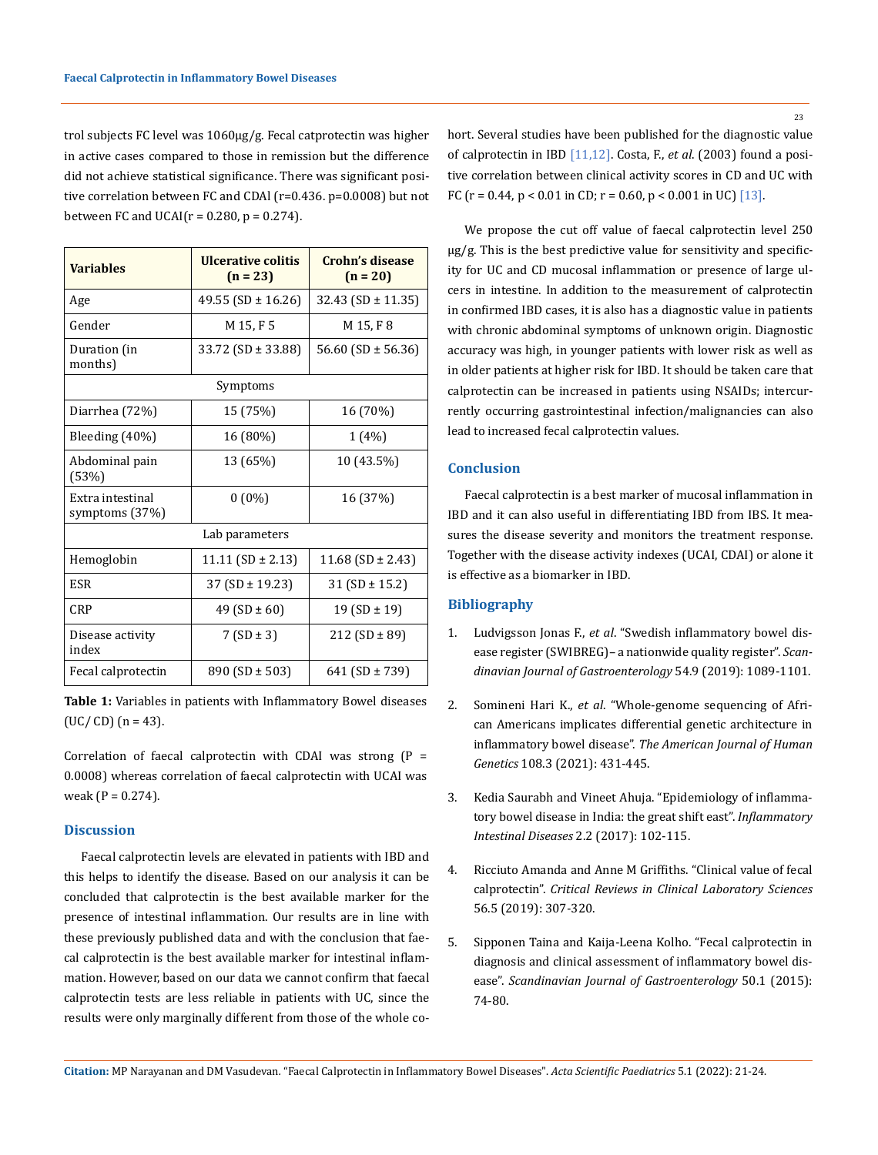trol subjects FC level was 1060µg/g. Fecal catprotectin was higher in active cases compared to those in remission but the difference did not achieve statistical significance. There was significant positive correlation between FC and CDAl (r=0.436. p=0.0008) but not between FC and UCAI( $r = 0.280$ ,  $p = 0.274$ ).

| <b>Variables</b>                   | Ulcerative colitis<br>$(n = 23)$ | Crohn's disease<br>$(n = 20)$ |
|------------------------------------|----------------------------------|-------------------------------|
| Age                                | 49.55 (SD $\pm$ 16.26)           | $32.43$ (SD $\pm$ 11.35)      |
| Gender                             | M 15, F 5                        | M 15, F 8                     |
| Duration (in<br>months)            | 33.72 (SD $\pm$ 33.88)           | 56.60 (SD $\pm$ 56.36)        |
| Symptoms                           |                                  |                               |
| Diarrhea (72%)                     | 15 (75%)                         | 16 (70%)                      |
| Bleeding $(40%)$                   | 16 (80%)                         | 1 (4%)                        |
| Abdominal pain<br>(53%)            | 13 (65%)                         | 10 (43.5%)                    |
| Extra intestinal<br>symptoms (37%) | $0(0\%)$                         | 16 (37%)                      |
| Lab parameters                     |                                  |                               |
| Hemoglobin                         | 11.11 (SD $\pm$ 2.13)            | $11.68$ (SD $\pm$ 2.43)       |
| ESR                                | $37 (SD \pm 19.23)$              | $31(SD \pm 15.2)$             |
| CRP                                | 49 (SD $\pm$ 60)                 | 19 (SD $\pm$ 19)              |
| Disease activity<br>index          | $7(SD \pm 3)$                    | $212 (SD \pm 89)$             |
| Fecal calprotectin                 | $890$ (SD $\pm$ 503)             | 641 (SD $\pm$ 739)            |

**Table 1:** Variables in patients with Inflammatory Bowel diseases  $(UC/ CD)$  (n = 43).

Correlation of faecal calprotectin with CDAI was strong  $(P =$ 0.0008) whereas correlation of faecal calprotectin with UCAI was weak ( $P = 0.274$ ).

#### **Discussion**

Faecal calprotectin levels are elevated in patients with IBD and this helps to identify the disease. Based on our analysis it can be concluded that calprotectin is the best available marker for the presence of intestinal inflammation. Our results are in line with these previously published data and with the conclusion that faecal calprotectin is the best available marker for intestinal inflammation. However, based on our data we cannot confirm that faecal calprotectin tests are less reliable in patients with UC, since the results were only marginally different from those of the whole cohort. Several studies have been published for the diagnostic value of calprotectin in IBD [11,12]. Costa, F., *et al*. (2003) found a positive correlation between clinical activity scores in CD and UC with FC ( $r = 0.44$ ,  $p < 0.01$  in CD;  $r = 0.60$ ,  $p < 0.001$  in UC) [13].

We propose the cut off value of faecal calprotectin level 250 µg/g. This is the best predictive value for sensitivity and specificity for UC and CD mucosal inflammation or presence of large ulcers in intestine. In addition to the measurement of calprotectin in confirmed IBD cases, it is also has a diagnostic value in patients with chronic abdominal symptoms of unknown origin. Diagnostic accuracy was high, in younger patients with lower risk as well as in older patients at higher risk for IBD. It should be taken care that calprotectin can be increased in patients using NSAIDs; intercurrently occurring gastrointestinal infection/malignancies can also lead to increased fecal calprotectin values.

### **Conclusion**

Faecal calprotectin is a best marker of mucosal inflammation in IBD and it can also useful in differentiating IBD from IBS. It measures the disease severity and monitors the treatment response. Together with the disease activity indexes (UCAI, CDAI) or alone it is effective as a biomarker in IBD.

# **Bibliography**

- 1. Ludvigsson Jonas F., *et al*[. "Swedish inflammatory bowel dis](https://pubmed.ncbi.nlm.nih.gov/31498717/)[ease register \(SWIBREG\)– a nationwide quality register".](https://pubmed.ncbi.nlm.nih.gov/31498717/) *Scan[dinavian Journal of Gastroenterology](https://pubmed.ncbi.nlm.nih.gov/31498717/)* 54.9 (2019): 1089-1101.
- 2. Somineni Hari K., *et al*[. "Whole-genome sequencing of Afri](https://pubmed.ncbi.nlm.nih.gov/33600772/)[can Americans implicates differential genetic architecture in](https://pubmed.ncbi.nlm.nih.gov/33600772/)  inflammatory bowel disease". *[The American Journal of Human](https://pubmed.ncbi.nlm.nih.gov/33600772/)  Genetics* [108.3 \(2021\): 431-445.](https://pubmed.ncbi.nlm.nih.gov/33600772/)
- 3. [Kedia Saurabh and Vineet Ahuja. "Epidemiology of inflamma](https://pubmed.ncbi.nlm.nih.gov/30018961/)[tory bowel disease in India: the great shift east".](https://pubmed.ncbi.nlm.nih.gov/30018961/) *Inflammatory Intestinal Diseases* [2.2 \(2017\): 102-115.](https://pubmed.ncbi.nlm.nih.gov/30018961/)
- 4. [Ricciuto Amanda and Anne M Griffiths. "Clinical value of fecal](https://pubmed.ncbi.nlm.nih.gov/31088326/)  calprotectin". *[Critical Reviews in Clinical Laboratory Sciences](https://pubmed.ncbi.nlm.nih.gov/31088326/)* [56.5 \(2019\): 307-320.](https://pubmed.ncbi.nlm.nih.gov/31088326/)
- 5. [Sipponen Taina and Kaija-Leena Kolho. "Fecal calprotectin in](https://pubmed.ncbi.nlm.nih.gov/25523558/)  [diagnosis and clinical assessment of inflammatory bowel dis](https://pubmed.ncbi.nlm.nih.gov/25523558/)ease". *[Scandinavian Journal of Gastroenterology](https://pubmed.ncbi.nlm.nih.gov/25523558/)* 50.1 (2015): [74-80.](https://pubmed.ncbi.nlm.nih.gov/25523558/)